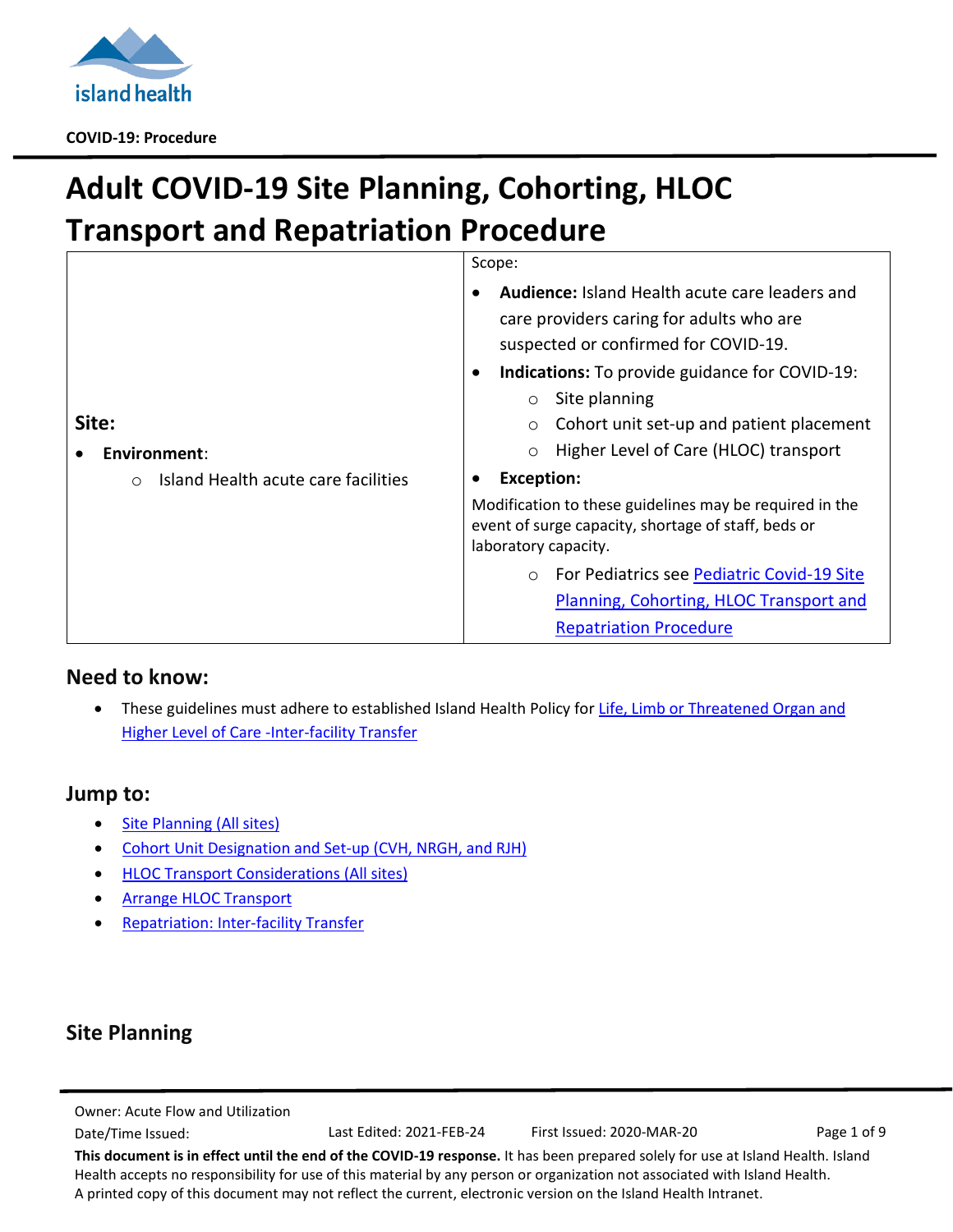

# **Adult COVID-19 Site Planning, Cohorting, HLOC Transport and Repatriation Procedure**

|       |                                                   | Scope:<br>Audience: Island Health acute care leaders and<br>care providers caring for adults who are                                   |  |
|-------|---------------------------------------------------|----------------------------------------------------------------------------------------------------------------------------------------|--|
|       |                                                   | suspected or confirmed for COVID-19.                                                                                                   |  |
|       |                                                   | <b>Indications:</b> To provide guidance for COVID-19:<br>$\bullet$<br>Site planning                                                    |  |
| Site: |                                                   | $\circ$                                                                                                                                |  |
|       |                                                   | Cohort unit set-up and patient placement<br>$\circ$                                                                                    |  |
|       | Environment:                                      | Higher Level of Care (HLOC) transport<br>$\circ$                                                                                       |  |
|       | Island Health acute care facilities<br>$\bigcirc$ | <b>Exception:</b>                                                                                                                      |  |
|       |                                                   | Modification to these guidelines may be required in the<br>event of surge capacity, shortage of staff, beds or<br>laboratory capacity. |  |
|       |                                                   | For Pediatrics see Pediatric Covid-19 Site<br>$\circ$                                                                                  |  |
|       |                                                   | Planning, Cohorting, HLOC Transport and                                                                                                |  |
|       |                                                   | <b>Repatriation Procedure</b>                                                                                                          |  |

## **Need to know:**

• These guidelines must adhere to established Island Health Policy for Life, Limb or Threatened Organ and [Higher Level of Care -Inter-facility Transfer](https://intranet.viha.ca/pnp/pnpdocs/life-limb-threatened-organ-higher-level-care%20%E2%80%93inter-facility-transfer.pdf)

## **Jump to:**

- Site Planning (All sites)
- [Cohort Unit Designation and Set-up \(CVH, NRGH, and RJH\)](#page-2-0)
- **HLOC Transport [Considerations \(All sites\)](#page-3-0)**
- **[Arrange HLOC Transport](#page-5-0)**
- **[Repatriation: Inter-facility Transfer](#page-5-1)**

# **Site Planning**

Owner: Acute Flow and Utilization

Date/Time Issued: Last Edited: 2021-FEB-24 First Issued: 2020-MAR-20 Page 1 of 9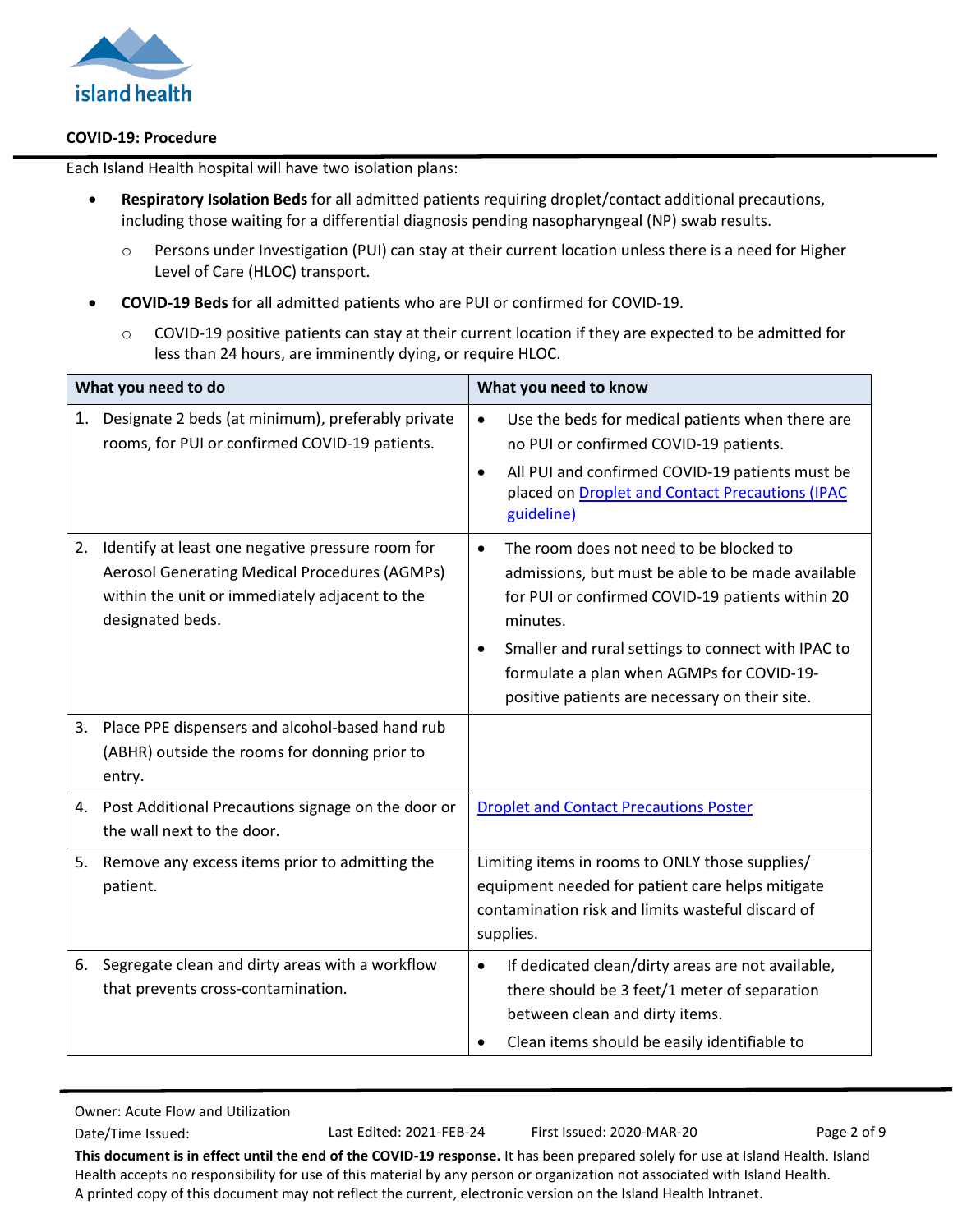

Each Island Health hospital will have two isolation plans:

- **Respiratory Isolation Beds** for all admitted patients requiring droplet/contact additional precautions, including those waiting for a differential diagnosis pending nasopharyngeal (NP) swab results.
	- o Persons under Investigation (PUI) can stay at their current location unless there is a need for Higher Level of Care (HLOC) transport.
- **COVID-19 Beds** for all admitted patients who are PUI or confirmed for COVID-19.
	- o COVID-19 positive patients can stay at their current location if they are expected to be admitted for less than 24 hours, are imminently dying, or require HLOC.

| What you need to do |                                                                                                                                                                         | What you need to know                                                                                                                                                                                                                                                                                                          |  |
|---------------------|-------------------------------------------------------------------------------------------------------------------------------------------------------------------------|--------------------------------------------------------------------------------------------------------------------------------------------------------------------------------------------------------------------------------------------------------------------------------------------------------------------------------|--|
| 1.                  | Designate 2 beds (at minimum), preferably private<br>rooms, for PUI or confirmed COVID-19 patients.                                                                     | Use the beds for medical patients when there are<br>$\bullet$<br>no PUI or confirmed COVID-19 patients.<br>All PUI and confirmed COVID-19 patients must be<br>$\bullet$<br>placed on Droplet and Contact Precautions (IPAC<br>guideline)                                                                                       |  |
| 2.                  | Identify at least one negative pressure room for<br>Aerosol Generating Medical Procedures (AGMPs)<br>within the unit or immediately adjacent to the<br>designated beds. | The room does not need to be blocked to<br>$\bullet$<br>admissions, but must be able to be made available<br>for PUI or confirmed COVID-19 patients within 20<br>minutes.<br>Smaller and rural settings to connect with IPAC to<br>formulate a plan when AGMPs for COVID-19-<br>positive patients are necessary on their site. |  |
| 3.                  | Place PPE dispensers and alcohol-based hand rub<br>(ABHR) outside the rooms for donning prior to<br>entry.                                                              |                                                                                                                                                                                                                                                                                                                                |  |
| 4.                  | Post Additional Precautions signage on the door or<br>the wall next to the door.                                                                                        | <b>Droplet and Contact Precautions Poster</b>                                                                                                                                                                                                                                                                                  |  |
| 5.                  | Remove any excess items prior to admitting the<br>patient.                                                                                                              | Limiting items in rooms to ONLY those supplies/<br>equipment needed for patient care helps mitigate<br>contamination risk and limits wasteful discard of<br>supplies.                                                                                                                                                          |  |
| 6.                  | Segregate clean and dirty areas with a workflow<br>that prevents cross-contamination.                                                                                   | If dedicated clean/dirty areas are not available,<br>$\bullet$<br>there should be 3 feet/1 meter of separation<br>between clean and dirty items.<br>Clean items should be easily identifiable to                                                                                                                               |  |

Date/Time Issued: Last Edited: 2021-FEB-24 First Issued: 2020-MAR-20 Page 2 of 9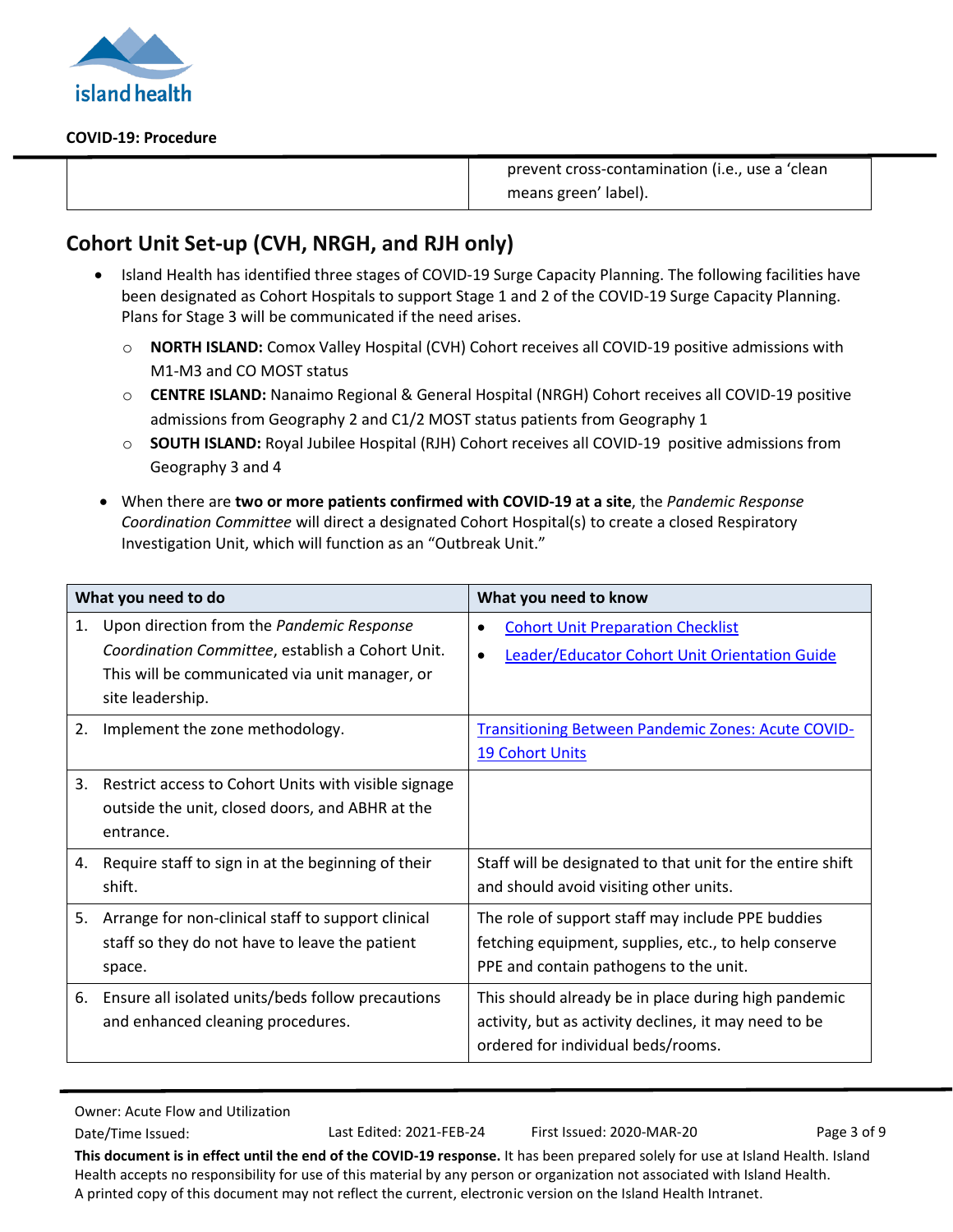

prevent cross-contamination (i.e., use a 'clean means green' label).

# <span id="page-2-0"></span>**Cohort Unit Set-up (CVH, NRGH, and RJH only)**

- Island Health has identified three stages of COVID-19 Surge Capacity Planning. The following facilities have been designated as Cohort Hospitals to support Stage 1 and 2 of the COVID-19 Surge Capacity Planning. Plans for Stage 3 will be communicated if the need arises.
	- o **NORTH ISLAND:** Comox Valley Hospital (CVH) Cohort receives all COVID-19 positive admissions with M1-M3 and CO MOST status
	- o **CENTRE ISLAND:** Nanaimo Regional & General Hospital (NRGH) Cohort receives all COVID-19 positive admissions from Geography 2 and C1/2 MOST status patients from Geography 1
	- o **SOUTH ISLAND:** Royal Jubilee Hospital (RJH) Cohort receives all COVID-19 positive admissions from Geography 3 and 4
- When there are **two or more patients confirmed with COVID-19 at a site**, the *Pandemic Response Coordination Committee* will direct a designated Cohort Hospital(s) to create a closed Respiratory Investigation Unit, which will function as an "Outbreak Unit."

| What you need to do |                                                                                                                                                                     | What you need to know                                                                                                                               |  |
|---------------------|---------------------------------------------------------------------------------------------------------------------------------------------------------------------|-----------------------------------------------------------------------------------------------------------------------------------------------------|--|
| 1.                  | Upon direction from the Pandemic Response<br>Coordination Committee, establish a Cohort Unit.<br>This will be communicated via unit manager, or<br>site leadership. | <b>Cohort Unit Preparation Checklist</b><br>٠<br><b>Leader/Educator Cohort Unit Orientation Guide</b><br>$\bullet$                                  |  |
| 2.                  | Implement the zone methodology.                                                                                                                                     | <b>Transitioning Between Pandemic Zones: Acute COVID-</b><br><b>19 Cohort Units</b>                                                                 |  |
| 3.                  | Restrict access to Cohort Units with visible signage<br>outside the unit, closed doors, and ABHR at the<br>entrance.                                                |                                                                                                                                                     |  |
| 4.                  | Require staff to sign in at the beginning of their<br>shift.                                                                                                        | Staff will be designated to that unit for the entire shift<br>and should avoid visiting other units.                                                |  |
| 5.                  | Arrange for non-clinical staff to support clinical<br>staff so they do not have to leave the patient<br>space.                                                      | The role of support staff may include PPE buddies<br>fetching equipment, supplies, etc., to help conserve<br>PPE and contain pathogens to the unit. |  |
| 6.                  | Ensure all isolated units/beds follow precautions<br>and enhanced cleaning procedures.                                                                              | This should already be in place during high pandemic<br>activity, but as activity declines, it may need to be<br>ordered for individual beds/rooms. |  |

Owner: Acute Flow and Utilization

Date/Time Issued: Last Edited: 2021-FEB-24 First Issued: 2020-MAR-20 Page 3 of 9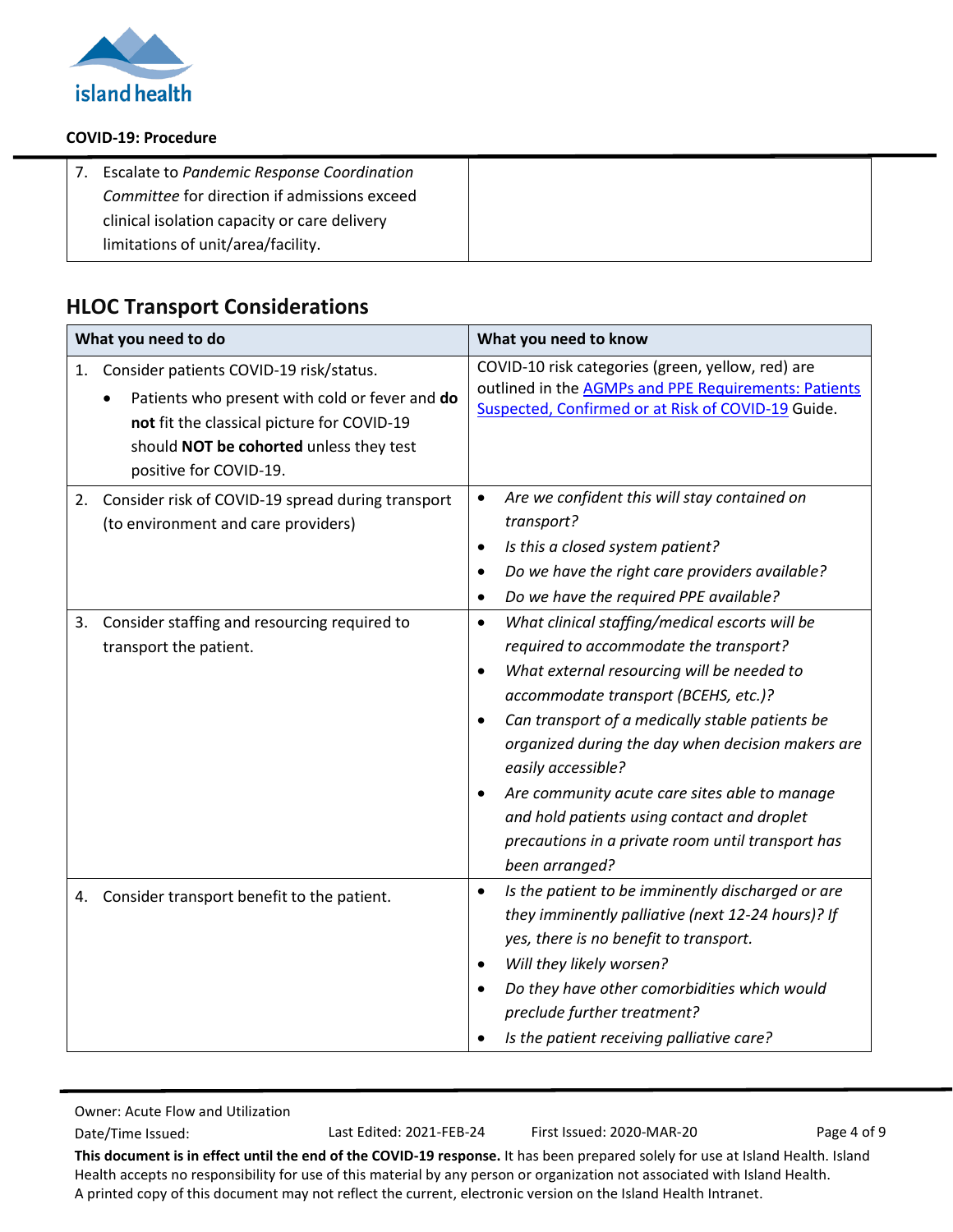

| Escalate to Pandemic Response Coordination   |
|----------------------------------------------|
| Committee for direction if admissions exceed |
| clinical isolation capacity or care delivery |
| limitations of unit/area/facility.           |

# <span id="page-3-0"></span>**HLOC Transport Considerations**

| What you need to do |                                                                                                                                                                                                              | What you need to know                                                                                                                                                                                                                                                                                                                                                                                                                                                                                                                   |  |
|---------------------|--------------------------------------------------------------------------------------------------------------------------------------------------------------------------------------------------------------|-----------------------------------------------------------------------------------------------------------------------------------------------------------------------------------------------------------------------------------------------------------------------------------------------------------------------------------------------------------------------------------------------------------------------------------------------------------------------------------------------------------------------------------------|--|
| 1.                  | Consider patients COVID-19 risk/status.<br>Patients who present with cold or fever and do<br>not fit the classical picture for COVID-19<br>should NOT be cohorted unless they test<br>positive for COVID-19. | COVID-10 risk categories (green, yellow, red) are<br>outlined in the <b>AGMPs and PPE Requirements: Patients</b><br>Suspected, Confirmed or at Risk of COVID-19 Guide.                                                                                                                                                                                                                                                                                                                                                                  |  |
| 2.                  | Consider risk of COVID-19 spread during transport<br>(to environment and care providers)                                                                                                                     | Are we confident this will stay contained on<br>$\bullet$<br>transport?<br>Is this a closed system patient?<br>٠<br>Do we have the right care providers available?<br>٠<br>Do we have the required PPE available?<br>٠                                                                                                                                                                                                                                                                                                                  |  |
| 3.                  | Consider staffing and resourcing required to<br>transport the patient.                                                                                                                                       | What clinical staffing/medical escorts will be<br>$\bullet$<br>required to accommodate the transport?<br>What external resourcing will be needed to<br>$\bullet$<br>accommodate transport (BCEHS, etc.)?<br>Can transport of a medically stable patients be<br>$\bullet$<br>organized during the day when decision makers are<br>easily accessible?<br>Are community acute care sites able to manage<br>$\bullet$<br>and hold patients using contact and droplet<br>precautions in a private room until transport has<br>been arranged? |  |
|                     | 4. Consider transport benefit to the patient.                                                                                                                                                                | Is the patient to be imminently discharged or are<br>$\bullet$<br>they imminently palliative (next 12-24 hours)? If<br>yes, there is no benefit to transport.<br>Will they likely worsen?<br>$\bullet$<br>Do they have other comorbidities which would<br>preclude further treatment?<br>Is the patient receiving palliative care?                                                                                                                                                                                                      |  |

Owner: Acute Flow and Utilization

Date/Time Issued: Last Edited: 2021-FEB-24 First Issued: 2020-MAR-20 Page 4 of 9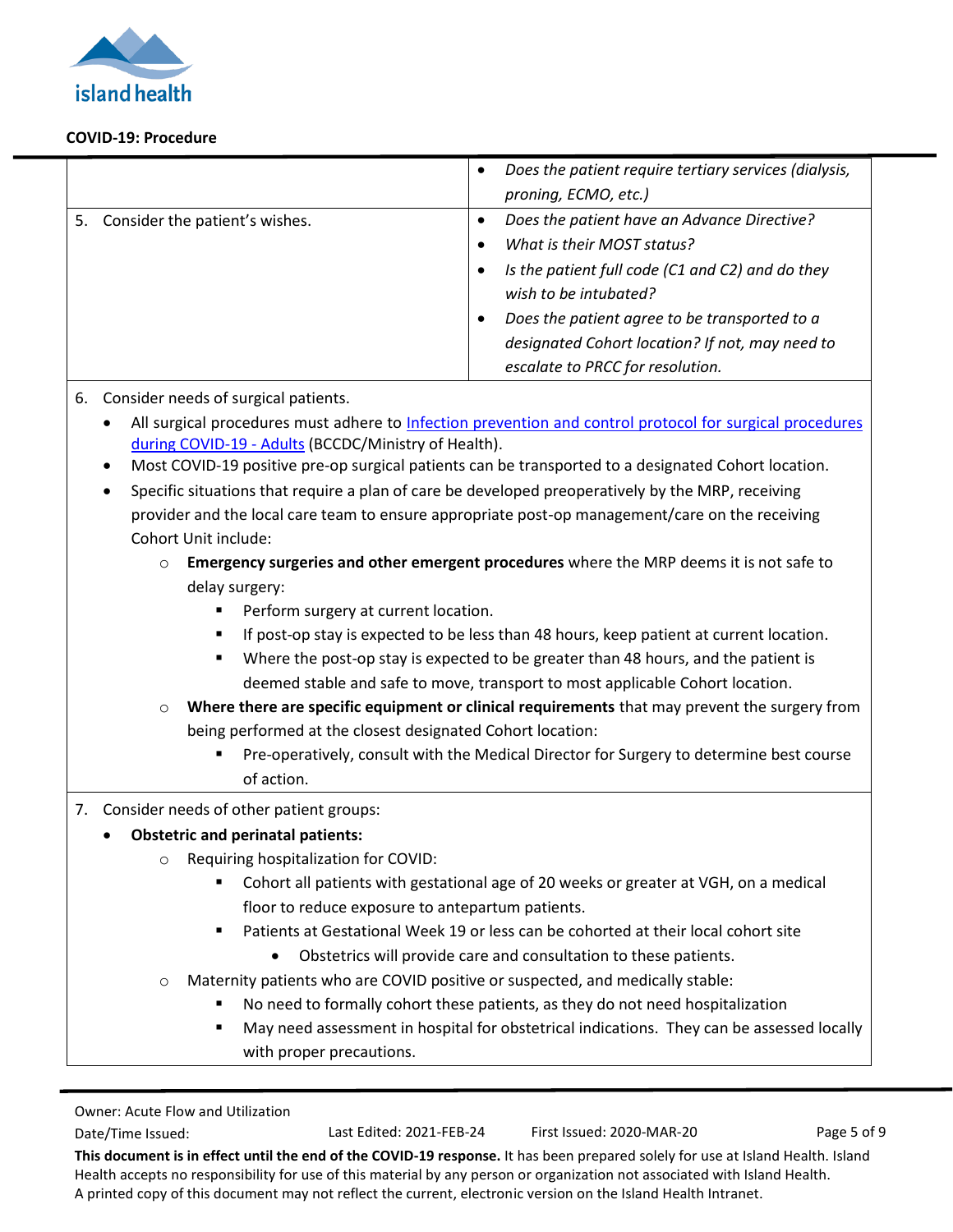

|                                   | Does the patient require tertiary services (dialysis,<br>proning, ECMO, etc.)                                                                                                                                                                                                                                            |
|-----------------------------------|--------------------------------------------------------------------------------------------------------------------------------------------------------------------------------------------------------------------------------------------------------------------------------------------------------------------------|
| 5. Consider the patient's wishes. | Does the patient have an Advance Directive?<br>What is their MOST status?<br>$\bullet$<br>Is the patient full code (C1 and C2) and do they<br>wish to be intubated?<br>Does the patient agree to be transported to a<br>$\bullet$<br>designated Cohort location? If not, may need to<br>escalate to PRCC for resolution. |

#### 6. Consider needs of surgical patients.

- All surgical procedures must adhere to [Infection prevention and control protocol for](http://www.bccdc.ca/Health-Professionals-Site/Documents/COVID19_IPCProtocolSurgicalProceduresAdult.pdf) surgical procedures [during COVID-19 -](http://www.bccdc.ca/Health-Professionals-Site/Documents/COVID19_IPCProtocolSurgicalProceduresAdult.pdf) Adults (BCCDC/Ministry of Health).
- Most COVID-19 positive pre-op surgical patients can be transported to a designated Cohort location.
- Specific situations that require a plan of care be developed preoperatively by the MRP, receiving provider and the local care team to ensure appropriate post-op management/care on the receiving Cohort Unit include:
	- o **Emergency surgeries and other emergent procedures** where the MRP deems it is not safe to delay surgery:
		- **Perform surgery at current location.**
		- If post-op stay is expected to be less than 48 hours, keep patient at current location.
		- Where the post-op stay is expected to be greater than 48 hours, and the patient is deemed stable and safe to move, transport to most applicable Cohort location.
	- o **Where there are specific equipment or clinical requirements** that may prevent the surgery from being performed at the closest designated Cohort location:
		- Pre-operatively, consult with the Medical Director for Surgery to determine best course of action.

#### 7. Consider needs of other patient groups:

#### **Obstetric and perinatal patients:**

- o Requiring hospitalization for COVID:
	- Cohort all patients with gestational age of 20 weeks or greater at VGH, on a medical floor to reduce exposure to antepartum patients.
	- Patients at Gestational Week 19 or less can be cohorted at their local cohort site
		- Obstetrics will provide care and consultation to these patients.
- Maternity patients who are COVID positive or suspected, and medically stable:
	- No need to formally cohort these patients, as they do not need hospitalization
	- May need assessment in hospital for obstetrical indications. They can be assessed locally with proper precautions.

```
Owner: Acute Flow and Utilization
```
Date/Time Issued: Last Edited: 2021-FEB-24 First Issued: 2020-MAR-20 Page 5 of 9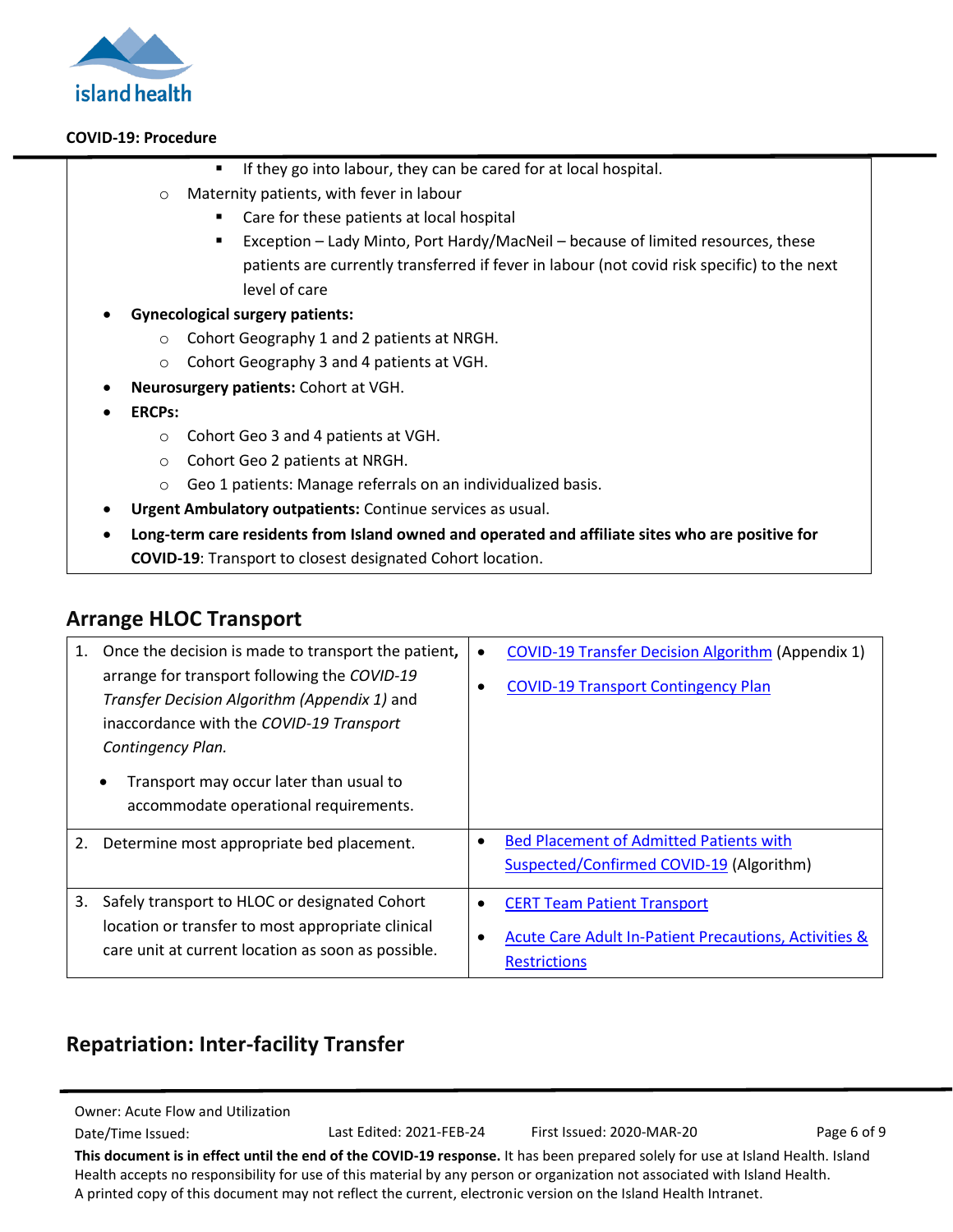

- **If they go into labour, they can be cared for at local hospital.**
- o Maternity patients, with fever in labour
	- **Care for these patients at local hospital**
	- Exception Lady Minto, Port Hardy/MacNeil because of limited resources, these patients are currently transferred if fever in labour (not covid risk specific) to the next level of care
- **Gynecological surgery patients:** 
	- o Cohort Geography 1 and 2 patients at NRGH.
	- o Cohort Geography 3 and 4 patients at VGH.
- **Neurosurgery patients:** Cohort at VGH.
- **ERCPs:**
	- o Cohort Geo 3 and 4 patients at VGH.
	- o Cohort Geo 2 patients at NRGH.
	- o Geo 1 patients: Manage referrals on an individualized basis.
- **Urgent Ambulatory outpatients:** Continue services as usual.
- **Long-term care residents from Island owned and operated and affiliate sites who are positive for COVID-19**: Transport to closest designated Cohort location.

### <span id="page-5-0"></span>**Arrange HLOC Transport**

| 1. | Once the decision is made to transport the patient,<br>arrange for transport following the COVID-19<br>Transfer Decision Algorithm (Appendix 1) and<br>inaccordance with the COVID-19 Transport<br>Contingency Plan.<br>Transport may occur later than usual to<br>$\bullet$<br>accommodate operational requirements. | $\bullet$ | <b>COVID-19 Transfer Decision Algorithm (Appendix 1)</b><br><b>COVID-19 Transport Contingency Plan</b>             |
|----|-----------------------------------------------------------------------------------------------------------------------------------------------------------------------------------------------------------------------------------------------------------------------------------------------------------------------|-----------|--------------------------------------------------------------------------------------------------------------------|
| 2. | Determine most appropriate bed placement.                                                                                                                                                                                                                                                                             | ٠         | <b>Bed Placement of Admitted Patients with</b><br>Suspected/Confirmed COVID-19 (Algorithm)                         |
| 3. | Safely transport to HLOC or designated Cohort<br>location or transfer to most appropriate clinical<br>care unit at current location as soon as possible.                                                                                                                                                              |           | <b>CERT Team Patient Transport</b><br>Acute Care Adult In-Patient Precautions, Activities &<br><b>Restrictions</b> |

# <span id="page-5-1"></span>**Repatriation: Inter-facility Transfer**

Owner: Acute Flow and Utilization

Date/Time Issued: Last Edited: 2021-FEB-24 First Issued: 2020-MAR-20 Page 6 of 9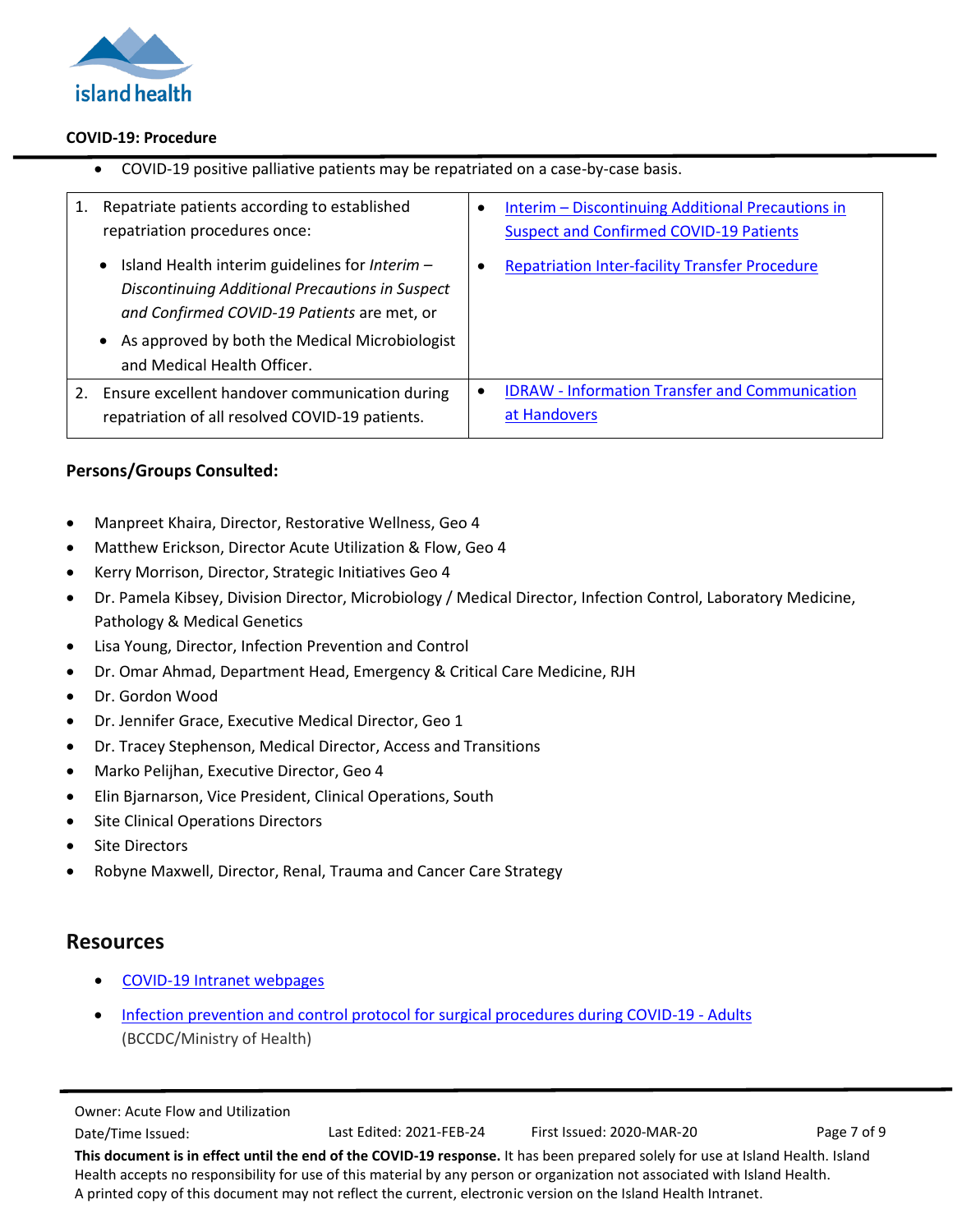

|    | COVID-19 positive palliative patients may be repatriated on a case-by-case basis.                                                                                                                                                                           |                                                                                                          |  |
|----|-------------------------------------------------------------------------------------------------------------------------------------------------------------------------------------------------------------------------------------------------------------|----------------------------------------------------------------------------------------------------------|--|
| 1. | Repatriate patients according to established<br>repatriation procedures once:                                                                                                                                                                               | Interim - Discontinuing Additional Precautions in<br>٠<br><b>Suspect and Confirmed COVID-19 Patients</b> |  |
|    | Island Health interim guidelines for Interim -<br>$\bullet$<br>Discontinuing Additional Precautions in Suspect<br>and Confirmed COVID-19 Patients are met, or<br>As approved by both the Medical Microbiologist<br>$\bullet$<br>and Medical Health Officer. | <b>Repatriation Inter-facility Transfer Procedure</b><br>٠                                               |  |
| 2. | Ensure excellent handover communication during<br>repatriation of all resolved COVID-19 patients.                                                                                                                                                           | <b>IDRAW - Information Transfer and Communication</b><br>at Handovers                                    |  |

#### **Persons/Groups Consulted:**

- Manpreet Khaira, Director, Restorative Wellness, Geo 4
- Matthew Erickson, Director Acute Utilization & Flow, Geo 4
- Kerry Morrison, Director, Strategic Initiatives Geo 4
- Dr. Pamela Kibsey, Division Director, Microbiology / Medical Director, Infection Control, Laboratory Medicine, Pathology & Medical Genetics
- Lisa Young, Director, Infection Prevention and Control
- Dr. Omar Ahmad, Department Head, Emergency & Critical Care Medicine, RJH
- Dr. Gordon Wood
- Dr. Jennifer Grace, Executive Medical Director, Geo 1
- Dr. Tracey Stephenson, Medical Director, Access and Transitions
- Marko Pelijhan, Executive Director, Geo 4
- Elin Bjarnarson, Vice President, Clinical Operations, South
- Site Clinical Operations Directors
- Site Directors
- Robyne Maxwell, Director, Renal, Trauma and Cancer Care Strategy

#### **Resources**

- [COVID-19 Intranet webpages](https://intranet.viha.ca/covid-19/Pages/default.aspx)
- [Infection prevention and control protocol for surgical procedures during COVID-19 -](http://www.bccdc.ca/Health-Professionals-Site/Documents/COVID19_IPCProtocolSurgicalProceduresAdult.pdf) Adults (BCCDC/Ministry of Health)

```
Owner: Acute Flow and Utilization
```
Date/Time Issued: Last Edited: 2021-FEB-24 First Issued: 2020-MAR-20 Page 7 of 9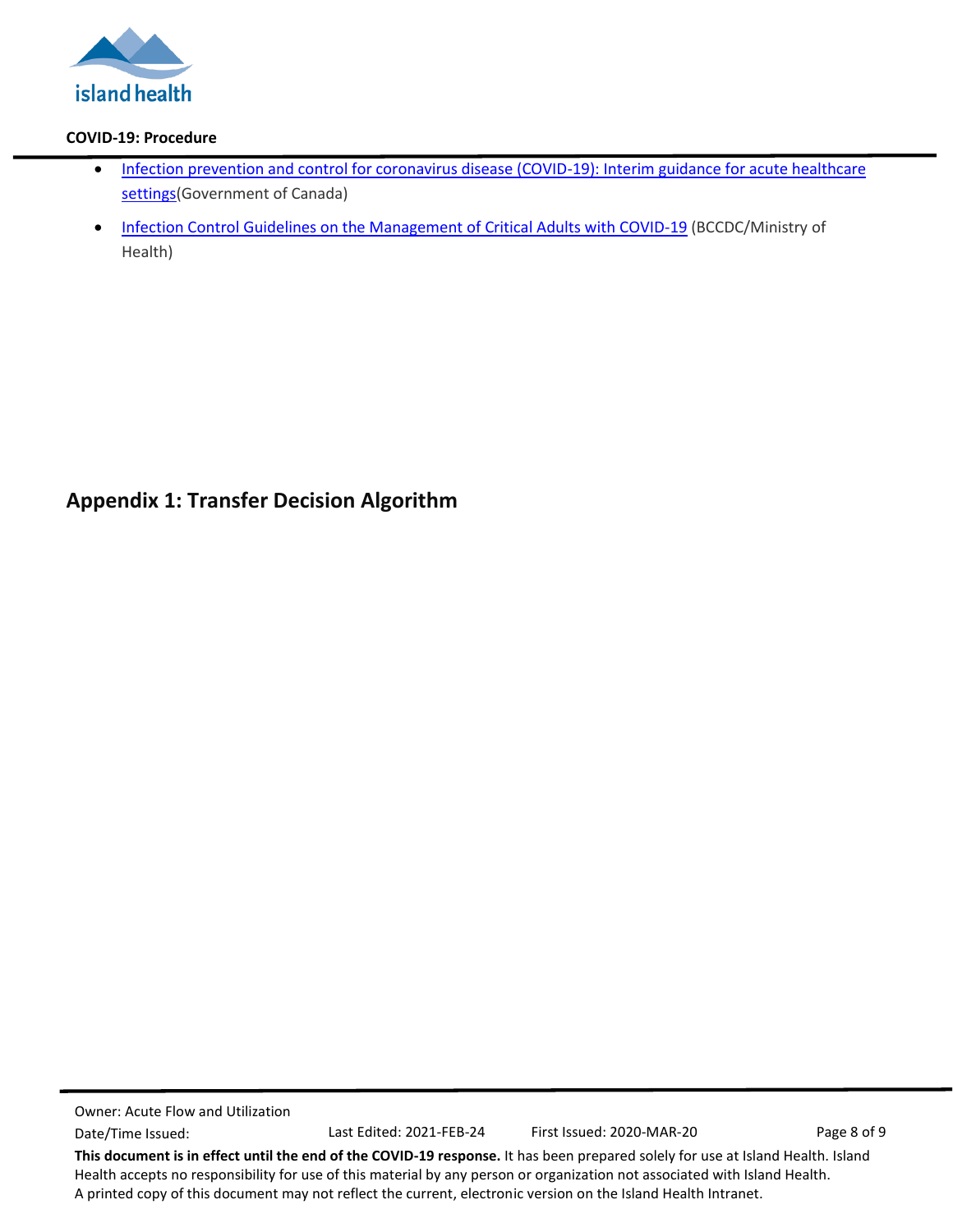

- Infection prevention and control for coronavirus disease (COVID-19): Interim guidance for acute healthcare [settings\(](https://www.canada.ca/en/public-health/services/diseases/2019-novel-coronavirus-infection/health-professionals/interim-guidance-acute-healthcare-settings.html)Government of Canada)
- [Infection Control Guidelines on the Management of Critical Adults with COVID-19](http://www.bccdc.ca/Health-Professionals-Site/Documents/COVID19_InfectionControlGuidelinesCriticalCareAdults.pdf) (BCCDC/Ministry of Health)

# <span id="page-7-0"></span>**Appendix 1: Transfer Decision Algorithm**

Owner: Acute Flow and Utilization Date/Time Issued: Last Edited: 2021-FEB-24 First Issued: 2020-MAR-20 Page 8 of 9 **This document is in effect until the end of the COVID-19 response.** It has been prepared solely for use at Island Health. Island Health accepts no responsibility for use of this material by any person or organization not associated with Island Health.

A printed copy of this document may not reflect the current, electronic version on the Island Health Intranet.